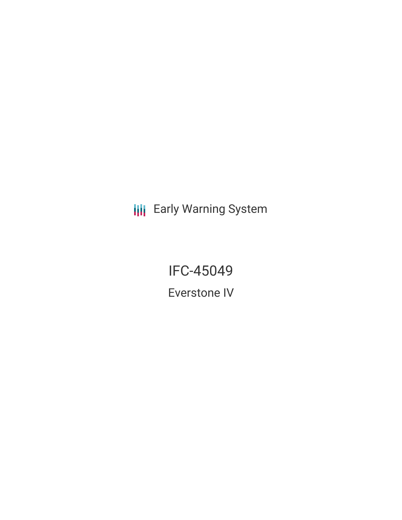**III** Early Warning System

IFC-45049 Everstone IV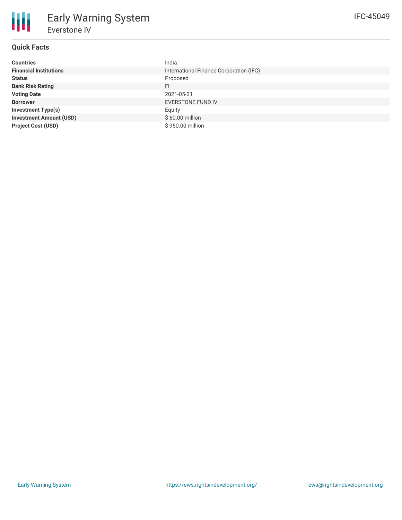# **Quick Facts**

| <b>Countries</b>               | India                                   |
|--------------------------------|-----------------------------------------|
| <b>Financial Institutions</b>  | International Finance Corporation (IFC) |
| <b>Status</b>                  | Proposed                                |
| <b>Bank Risk Rating</b>        | FI                                      |
| <b>Voting Date</b>             | 2021-05-31                              |
| <b>Borrower</b>                | EVERSTONE FUND IV                       |
| <b>Investment Type(s)</b>      | Equity                                  |
| <b>Investment Amount (USD)</b> | \$60.00 million                         |
| <b>Project Cost (USD)</b>      | \$950.00 million                        |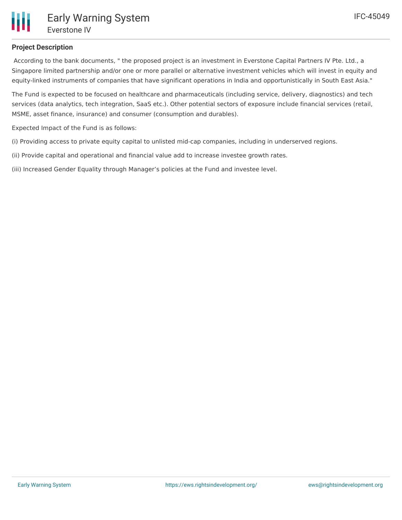# **Project Description**

According to the bank documents, " the proposed project is an investment in Everstone Capital Partners IV Pte. Ltd., a Singapore limited partnership and/or one or more parallel or alternative investment vehicles which will invest in equity and equity-linked instruments of companies that have significant operations in India and opportunistically in South East Asia."

The Fund is expected to be focused on healthcare and pharmaceuticals (including service, delivery, diagnostics) and tech services (data analytics, tech integration, SaaS etc.). Other potential sectors of exposure include financial services (retail, MSME, asset finance, insurance) and consumer (consumption and durables).

Expected Impact of the Fund is as follows:

(i) Providing access to private equity capital to unlisted mid-cap companies, including in underserved regions.

(ii) Provide capital and operational and financial value add to increase investee growth rates.

(iii) Increased Gender Equality through Manager's policies at the Fund and investee level.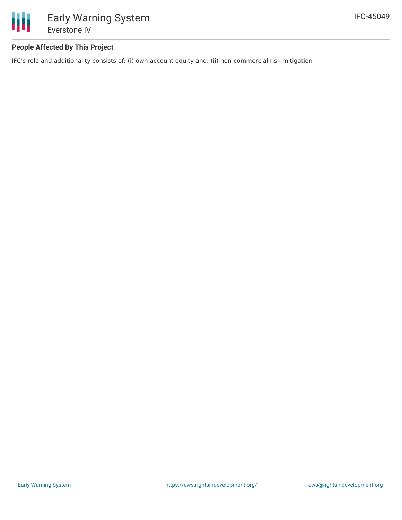

## **People Affected By This Project**

IFC's role and additionality consists of: (i) own account equity and; (ii) non-commercial risk mitigation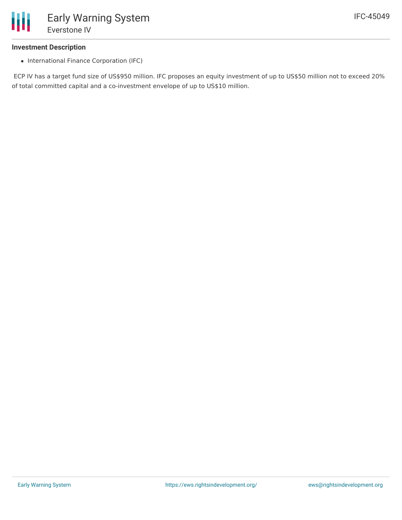

#### **Investment Description**

• International Finance Corporation (IFC)

ECP IV has a target fund size of US\$950 million. IFC proposes an equity investment of up to US\$50 million not to exceed 20% of total committed capital and a co-investment envelope of up to US\$10 million.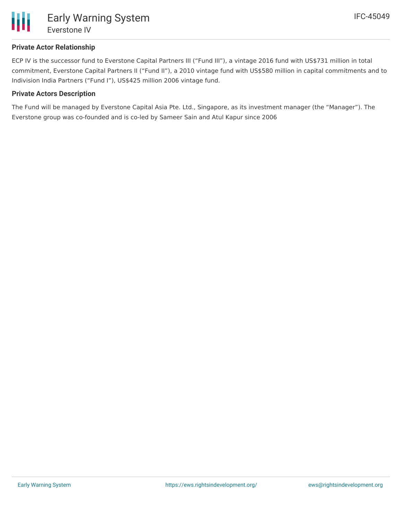

#### **Private Actor Relationship**

ECP IV is the successor fund to Everstone Capital Partners III ("Fund III"), a vintage 2016 fund with US\$731 million in total commitment, Everstone Capital Partners II ("Fund II"), a 2010 vintage fund with US\$580 million in capital commitments and to Indivision India Partners ("Fund I"), US\$425 million 2006 vintage fund.

#### **Private Actors Description**

The Fund will be managed by Everstone Capital Asia Pte. Ltd., Singapore, as its investment manager (the "Manager"). The Everstone group was co-founded and is co-led by Sameer Sain and Atul Kapur since 2006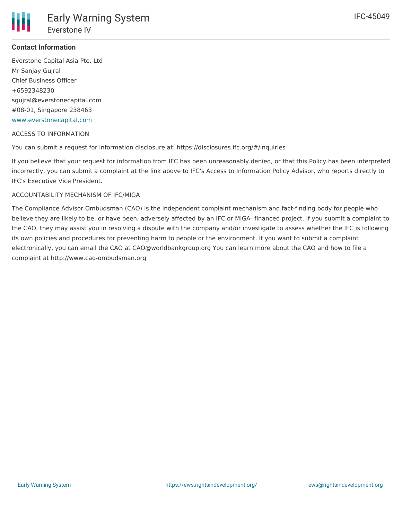## **Contact Information**

Everstone Capital Asia Pte. Ltd Mr Sanjay Gujral Chief Business Officer +6592348230 sgujral@everstonecapital.com #08-01, Singapore 238463 [www.everstonecapital.com](http://www.everstonecapital.com)

#### ACCESS TO INFORMATION

You can submit a request for information disclosure at: https://disclosures.ifc.org/#/inquiries

If you believe that your request for information from IFC has been unreasonably denied, or that this Policy has been interpreted incorrectly, you can submit a complaint at the link above to IFC's Access to Information Policy Advisor, who reports directly to IFC's Executive Vice President.

#### ACCOUNTABILITY MECHANISM OF IFC/MIGA

The Compliance Advisor Ombudsman (CAO) is the independent complaint mechanism and fact-finding body for people who believe they are likely to be, or have been, adversely affected by an IFC or MIGA- financed project. If you submit a complaint to the CAO, they may assist you in resolving a dispute with the company and/or investigate to assess whether the IFC is following its own policies and procedures for preventing harm to people or the environment. If you want to submit a complaint electronically, you can email the CAO at CAO@worldbankgroup.org You can learn more about the CAO and how to file a complaint at http://www.cao-ombudsman.org